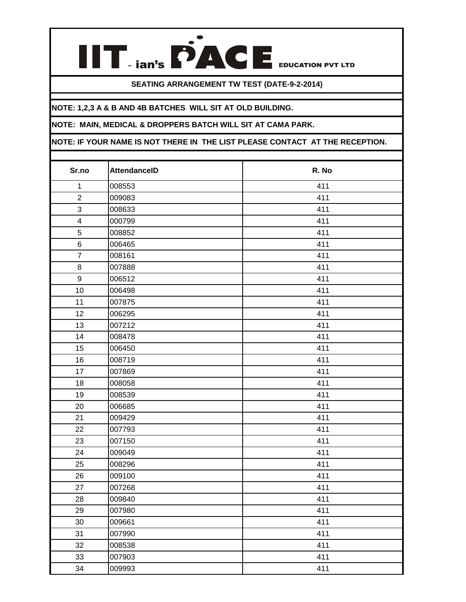## **SEATING ARRANGEMENT TW TEST (DATE-9-2-2014)**

**IIT** . ian's **PACE** EDUCATION PVT LTD

## **NOTE: 1,2,3 A & B AND 4B BATCHES WILL SIT AT OLD BUILDING.**

## **NOTE: MAIN, MEDICAL & DROPPERS BATCH WILL SIT AT CAMA PARK.**

**NOTE: IF YOUR NAME IS NOT THERE IN THE LIST PLEASE CONTACT AT THE RECEPTION.** 

| Sr.no                   | <b>AttendanceID</b> | R. No |
|-------------------------|---------------------|-------|
| $\mathbf 1$             | 008553              | 411   |
| $\overline{c}$          | 009083              | 411   |
| 3                       | 008633              | 411   |
| $\overline{\mathbf{4}}$ | 000799              | 411   |
| 5                       | 008852              | 411   |
| $\,6$                   | 006465              | 411   |
| $\overline{7}$          | 008161              | 411   |
| $\bf 8$                 | 007888              | 411   |
| $\boldsymbol{9}$        | 006512              | 411   |
| 10                      | 006498              | 411   |
| 11                      | 007875              | 411   |
| 12                      | 006295              | 411   |
| 13                      | 007212              | 411   |
| 14                      | 008478              | 411   |
| 15                      | 006450              | 411   |
| 16                      | 008719              | 411   |
| 17                      | 007869              | 411   |
| 18                      | 008058              | 411   |
| 19                      | 008539              | 411   |
| 20                      | 006685              | 411   |
| 21                      | 009429              | 411   |
| 22                      | 007793              | 411   |
| 23                      | 007150              | 411   |
| 24                      | 009049              | 411   |
| 25                      | 008296              | 411   |
| 26                      | 009100              | 411   |
| 27                      | 007268              | 411   |
| 28                      | 009840              | 411   |
| 29                      | 007980              | 411   |
| 30                      | 009661              | 411   |
| 31                      | 007990              | 411   |
| 32                      | 008538              | 411   |
| 33                      | 007903              | 411   |
| 34                      | 009993              | 411   |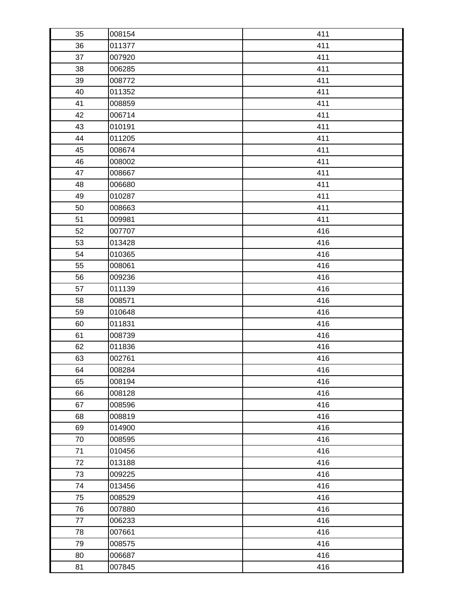| 35 | 008154 | 411 |
|----|--------|-----|
| 36 | 011377 | 411 |
| 37 | 007920 | 411 |
| 38 | 006285 | 411 |
| 39 | 008772 | 411 |
| 40 | 011352 | 411 |
| 41 | 008859 | 411 |
| 42 | 006714 | 411 |
| 43 | 010191 | 411 |
| 44 | 011205 | 411 |
| 45 | 008674 | 411 |
| 46 | 008002 | 411 |
| 47 | 008667 | 411 |
| 48 | 006680 | 411 |
| 49 | 010287 | 411 |
| 50 | 008663 | 411 |
| 51 | 009981 | 411 |
| 52 | 007707 | 416 |
| 53 | 013428 | 416 |
| 54 | 010365 | 416 |
| 55 | 008061 | 416 |
| 56 | 009236 | 416 |
| 57 | 011139 | 416 |
| 58 | 008571 | 416 |
| 59 | 010648 | 416 |
| 60 | 011831 | 416 |
| 61 | 008739 | 416 |
| 62 | 011836 | 416 |
| 63 | 002761 | 416 |
| 64 | 008284 | 416 |
| 65 | 008194 | 416 |
| 66 | 008128 | 416 |
| 67 | 008596 | 416 |
| 68 | 008819 | 416 |
| 69 | 014900 | 416 |
| 70 | 008595 | 416 |
| 71 | 010456 | 416 |
| 72 | 013188 | 416 |
| 73 | 009225 | 416 |
| 74 | 013456 | 416 |
| 75 | 008529 | 416 |
| 76 | 007880 | 416 |
| 77 | 006233 | 416 |
| 78 | 007661 | 416 |
| 79 | 008575 | 416 |
| 80 | 006687 | 416 |
| 81 | 007845 | 416 |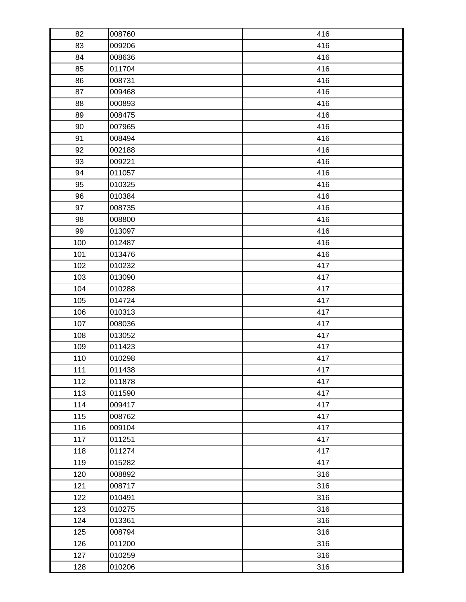| 82  | 008760 | 416 |
|-----|--------|-----|
| 83  | 009206 | 416 |
| 84  | 008636 | 416 |
| 85  | 011704 | 416 |
| 86  | 008731 | 416 |
| 87  | 009468 | 416 |
| 88  | 000893 | 416 |
| 89  | 008475 | 416 |
| 90  | 007965 | 416 |
| 91  | 008494 | 416 |
| 92  | 002188 | 416 |
| 93  | 009221 | 416 |
| 94  | 011057 | 416 |
| 95  | 010325 | 416 |
| 96  | 010384 | 416 |
| 97  | 008735 | 416 |
| 98  | 008800 | 416 |
| 99  | 013097 | 416 |
| 100 | 012487 | 416 |
| 101 | 013476 | 416 |
| 102 | 010232 | 417 |
| 103 | 013090 | 417 |
| 104 | 010288 | 417 |
| 105 | 014724 | 417 |
| 106 | 010313 | 417 |
| 107 | 008036 | 417 |
| 108 | 013052 | 417 |
| 109 | 011423 | 417 |
| 110 | 010298 | 417 |
| 111 | 011438 | 417 |
| 112 | 011878 | 417 |
| 113 | 011590 | 417 |
| 114 | 009417 | 417 |
| 115 | 008762 | 417 |
| 116 | 009104 | 417 |
| 117 | 011251 | 417 |
| 118 | 011274 | 417 |
| 119 | 015282 | 417 |
| 120 | 008892 | 316 |
| 121 | 008717 | 316 |
| 122 | 010491 | 316 |
| 123 | 010275 | 316 |
| 124 | 013361 | 316 |
| 125 | 008794 | 316 |
| 126 | 011200 | 316 |
| 127 | 010259 | 316 |
| 128 | 010206 | 316 |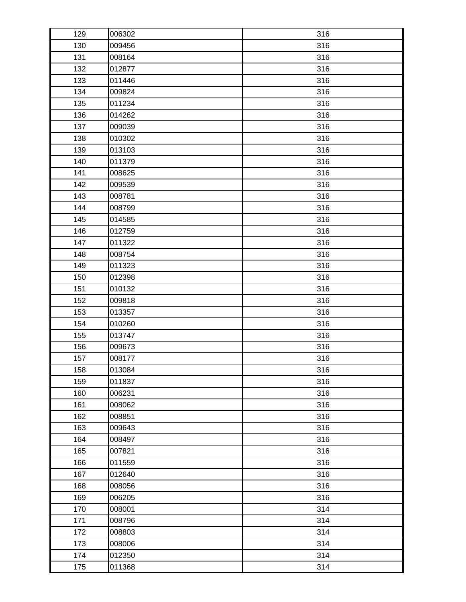| 129 | 006302 | 316 |
|-----|--------|-----|
| 130 | 009456 | 316 |
| 131 | 008164 | 316 |
| 132 | 012877 | 316 |
| 133 | 011446 | 316 |
| 134 | 009824 | 316 |
| 135 | 011234 | 316 |
| 136 | 014262 | 316 |
| 137 | 009039 | 316 |
| 138 | 010302 | 316 |
| 139 | 013103 | 316 |
| 140 | 011379 | 316 |
| 141 | 008625 | 316 |
| 142 | 009539 | 316 |
| 143 | 008781 | 316 |
| 144 | 008799 | 316 |
| 145 | 014585 | 316 |
| 146 | 012759 | 316 |
| 147 | 011322 | 316 |
| 148 | 008754 | 316 |
| 149 | 011323 | 316 |
| 150 | 012398 | 316 |
| 151 | 010132 | 316 |
| 152 | 009818 | 316 |
| 153 | 013357 | 316 |
| 154 | 010260 | 316 |
| 155 | 013747 | 316 |
| 156 | 009673 | 316 |
| 157 | 008177 | 316 |
| 158 | 013084 | 316 |
| 159 | 011837 | 316 |
| 160 | 006231 | 316 |
| 161 | 008062 | 316 |
| 162 | 008851 | 316 |
| 163 | 009643 | 316 |
| 164 | 008497 | 316 |
| 165 | 007821 | 316 |
| 166 | 011559 | 316 |
| 167 | 012640 | 316 |
| 168 | 008056 | 316 |
| 169 | 006205 | 316 |
| 170 | 008001 | 314 |
| 171 | 008796 | 314 |
| 172 | 008803 | 314 |
| 173 | 008006 | 314 |
| 174 | 012350 | 314 |
| 175 | 011368 | 314 |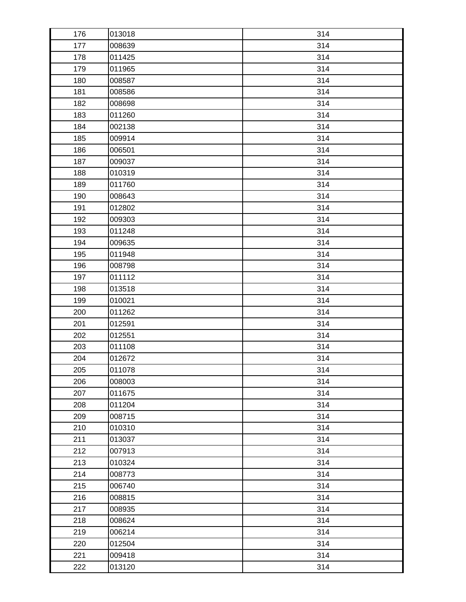| 176 | 013018 | 314 |
|-----|--------|-----|
| 177 | 008639 | 314 |
| 178 | 011425 | 314 |
| 179 | 011965 | 314 |
| 180 | 008587 | 314 |
| 181 | 008586 | 314 |
| 182 | 008698 | 314 |
| 183 | 011260 | 314 |
| 184 | 002138 | 314 |
| 185 | 009914 | 314 |
| 186 | 006501 | 314 |
| 187 | 009037 | 314 |
| 188 | 010319 | 314 |
| 189 | 011760 | 314 |
| 190 | 008643 | 314 |
| 191 | 012802 | 314 |
| 192 | 009303 | 314 |
| 193 | 011248 | 314 |
| 194 | 009635 | 314 |
| 195 | 011948 | 314 |
| 196 | 008798 | 314 |
| 197 | 011112 | 314 |
| 198 | 013518 | 314 |
| 199 | 010021 | 314 |
| 200 | 011262 | 314 |
| 201 | 012591 | 314 |
| 202 | 012551 | 314 |
| 203 | 011108 | 314 |
| 204 | 012672 | 314 |
| 205 | 011078 | 314 |
| 206 | 008003 | 314 |
| 207 | 011675 | 314 |
| 208 | 011204 | 314 |
| 209 | 008715 | 314 |
| 210 | 010310 | 314 |
| 211 | 013037 | 314 |
| 212 | 007913 | 314 |
| 213 | 010324 | 314 |
| 214 | 008773 | 314 |
| 215 | 006740 | 314 |
| 216 | 008815 | 314 |
| 217 | 008935 | 314 |
| 218 | 008624 | 314 |
| 219 | 006214 | 314 |
| 220 | 012504 | 314 |
| 221 | 009418 | 314 |
| 222 | 013120 | 314 |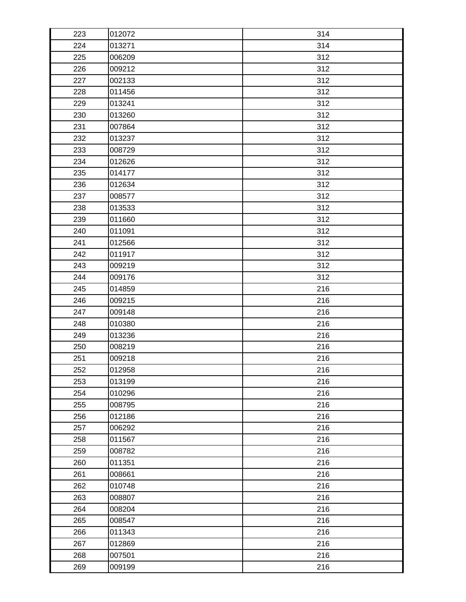| 223 | 012072 | 314 |
|-----|--------|-----|
| 224 | 013271 | 314 |
| 225 | 006209 | 312 |
| 226 | 009212 | 312 |
| 227 | 002133 | 312 |
| 228 | 011456 | 312 |
| 229 | 013241 | 312 |
| 230 | 013260 | 312 |
| 231 | 007864 | 312 |
| 232 | 013237 | 312 |
| 233 | 008729 | 312 |
| 234 | 012626 | 312 |
| 235 | 014177 | 312 |
| 236 | 012634 | 312 |
| 237 | 008577 | 312 |
| 238 | 013533 | 312 |
| 239 | 011660 | 312 |
| 240 | 011091 | 312 |
| 241 | 012566 | 312 |
| 242 | 011917 | 312 |
| 243 | 009219 | 312 |
| 244 | 009176 | 312 |
| 245 | 014859 | 216 |
| 246 | 009215 | 216 |
| 247 | 009148 | 216 |
| 248 | 010380 | 216 |
| 249 | 013236 | 216 |
| 250 | 008219 | 216 |
| 251 | 009218 | 216 |
| 252 | 012958 | 216 |
| 253 | 013199 | 216 |
| 254 | 010296 | 216 |
| 255 | 008795 | 216 |
| 256 | 012186 | 216 |
| 257 | 006292 | 216 |
| 258 | 011567 | 216 |
| 259 | 008782 | 216 |
| 260 | 011351 | 216 |
| 261 | 008661 | 216 |
| 262 | 010748 | 216 |
| 263 | 008807 | 216 |
| 264 | 008204 | 216 |
| 265 | 008547 | 216 |
| 266 | 011343 | 216 |
| 267 | 012869 | 216 |
| 268 | 007501 | 216 |
| 269 | 009199 | 216 |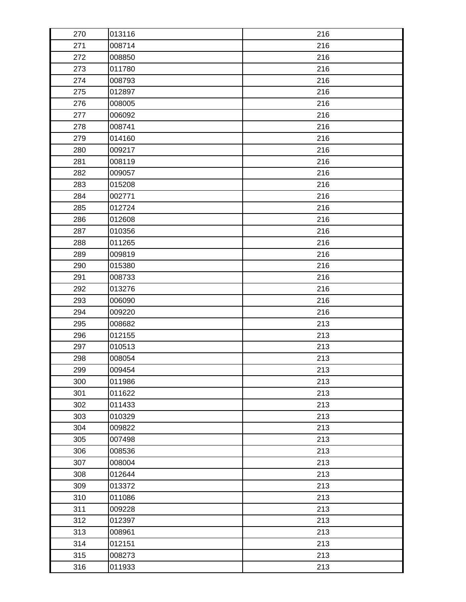| 270 | 013116 | 216 |
|-----|--------|-----|
| 271 | 008714 | 216 |
| 272 | 008850 | 216 |
| 273 | 011780 | 216 |
| 274 | 008793 | 216 |
| 275 | 012897 | 216 |
| 276 | 008005 | 216 |
| 277 | 006092 | 216 |
| 278 | 008741 | 216 |
| 279 | 014160 | 216 |
| 280 | 009217 | 216 |
| 281 | 008119 | 216 |
| 282 | 009057 | 216 |
| 283 | 015208 | 216 |
| 284 | 002771 | 216 |
| 285 | 012724 | 216 |
| 286 | 012608 | 216 |
| 287 | 010356 | 216 |
| 288 | 011265 | 216 |
| 289 | 009819 | 216 |
| 290 | 015380 | 216 |
| 291 | 008733 | 216 |
| 292 | 013276 | 216 |
| 293 | 006090 | 216 |
| 294 | 009220 | 216 |
| 295 | 008682 | 213 |
| 296 | 012155 | 213 |
| 297 | 010513 | 213 |
| 298 | 008054 | 213 |
| 299 | 009454 | 213 |
| 300 | 011986 | 213 |
| 301 | 011622 | 213 |
| 302 | 011433 | 213 |
| 303 | 010329 | 213 |
| 304 | 009822 | 213 |
| 305 | 007498 | 213 |
| 306 | 008536 | 213 |
| 307 | 008004 | 213 |
| 308 | 012644 | 213 |
| 309 | 013372 | 213 |
| 310 | 011086 | 213 |
| 311 | 009228 | 213 |
| 312 | 012397 | 213 |
| 313 | 008961 | 213 |
| 314 | 012151 | 213 |
| 315 | 008273 | 213 |
| 316 | 011933 | 213 |
|     |        |     |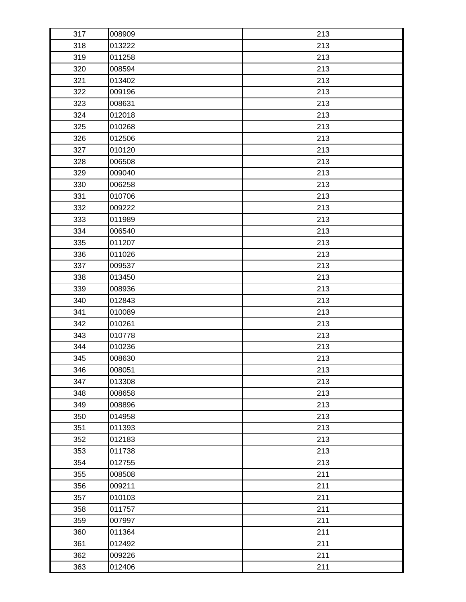| 317 | 008909 | 213 |
|-----|--------|-----|
| 318 | 013222 | 213 |
| 319 | 011258 | 213 |
| 320 | 008594 | 213 |
| 321 | 013402 | 213 |
| 322 | 009196 | 213 |
| 323 | 008631 | 213 |
| 324 | 012018 | 213 |
| 325 | 010268 | 213 |
| 326 | 012506 | 213 |
| 327 | 010120 | 213 |
| 328 | 006508 | 213 |
| 329 | 009040 | 213 |
| 330 | 006258 | 213 |
| 331 | 010706 | 213 |
| 332 | 009222 | 213 |
| 333 | 011989 | 213 |
| 334 | 006540 | 213 |
| 335 | 011207 | 213 |
| 336 | 011026 | 213 |
| 337 | 009537 | 213 |
| 338 | 013450 | 213 |
| 339 | 008936 | 213 |
| 340 | 012843 | 213 |
| 341 | 010089 | 213 |
| 342 | 010261 | 213 |
| 343 | 010778 | 213 |
| 344 | 010236 | 213 |
| 345 | 008630 | 213 |
| 346 | 008051 | 213 |
| 347 | 013308 | 213 |
| 348 | 008658 | 213 |
| 349 | 008896 | 213 |
| 350 | 014958 | 213 |
| 351 | 011393 | 213 |
| 352 | 012183 | 213 |
| 353 | 011738 | 213 |
| 354 | 012755 | 213 |
| 355 | 008508 | 211 |
| 356 | 009211 | 211 |
| 357 | 010103 | 211 |
| 358 | 011757 | 211 |
| 359 | 007997 | 211 |
| 360 | 011364 | 211 |
| 361 | 012492 | 211 |
| 362 | 009226 | 211 |
| 363 | 012406 | 211 |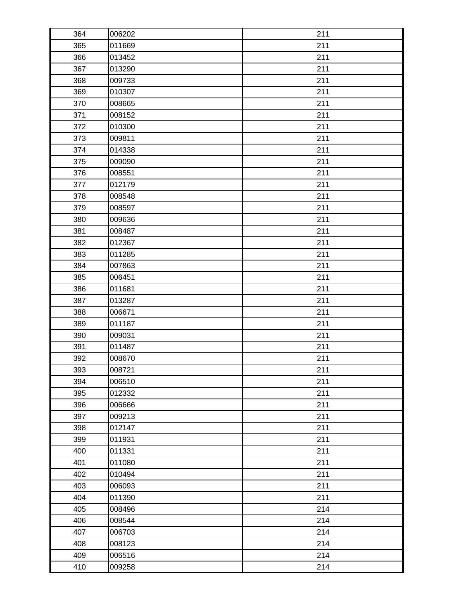| 364 | 006202 | 211 |
|-----|--------|-----|
| 365 | 011669 | 211 |
| 366 | 013452 | 211 |
| 367 | 013290 | 211 |
| 368 | 009733 | 211 |
| 369 | 010307 | 211 |
| 370 | 008665 | 211 |
| 371 | 008152 | 211 |
| 372 | 010300 | 211 |
| 373 | 009811 | 211 |
| 374 | 014338 | 211 |
| 375 | 009090 | 211 |
| 376 | 008551 | 211 |
| 377 | 012179 | 211 |
| 378 | 008548 | 211 |
| 379 | 008597 | 211 |
| 380 | 009636 | 211 |
| 381 | 008487 | 211 |
| 382 | 012367 | 211 |
| 383 | 011285 | 211 |
| 384 | 007863 | 211 |
| 385 | 006451 | 211 |
| 386 | 011681 | 211 |
| 387 | 013287 | 211 |
| 388 | 006671 | 211 |
| 389 | 011187 | 211 |
| 390 | 009031 | 211 |
| 391 | 011487 | 211 |
| 392 | 008670 | 211 |
| 393 | 008721 | 211 |
| 394 | 006510 | 211 |
| 395 | 012332 | 211 |
| 396 | 006666 | 211 |
| 397 | 009213 | 211 |
| 398 | 012147 | 211 |
| 399 | 011931 | 211 |
| 400 | 011331 | 211 |
| 401 | 011080 | 211 |
| 402 | 010494 | 211 |
| 403 | 006093 | 211 |
| 404 | 011390 | 211 |
| 405 | 008496 | 214 |
| 406 | 008544 | 214 |
| 407 | 006703 | 214 |
| 408 | 008123 | 214 |
| 409 | 006516 | 214 |
| 410 | 009258 | 214 |